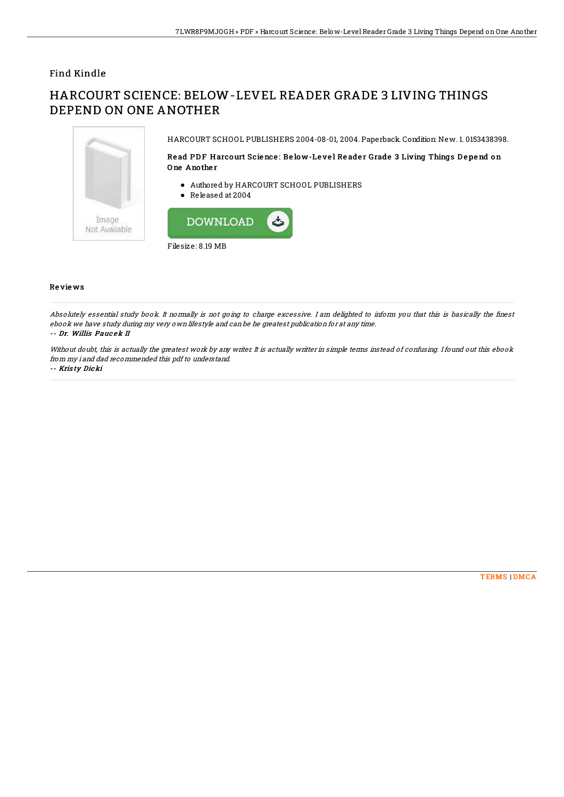## Find Kindle

# HARCOURT SCIENCE: BELOW-LEVEL READER GRADE 3 LIVING THINGS DEPEND ON ONE ANOTHER



HARCOURT SCHOOL PUBLISHERS 2004-08-01, 2004. Paperback. Condition: New. 1. 0153438398.

### Read PDF Harcourt Science: Below-Level Reader Grade 3 Living Things Depend on O ne Ano the r

- Authored by HARCOURT SCHOOL PUBLISHERS
- Released at 2004



#### Re vie ws

Absolutely essential study book. It normally is not going to charge excessive. I am delighted to inform you that this is basically the finest ebook we have study during my very own lifestyle and can be he greatest publication for at any time. -- Dr. Willis Pauc ek II

Without doubt, this is actually the greatest work by any writer. It is actually writter in simple terms instead of confusing. I found out this ebook from my i and dad recommended this pdf to understand.

-- Kris ty Dicki